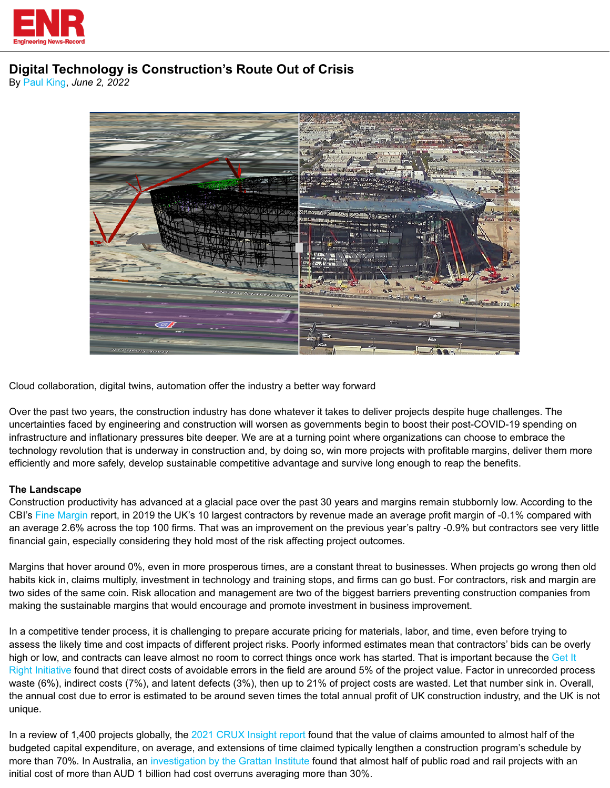

# **Digital Technology is Construction's Route Out of Crisis**

By [Paul King](https://www.enr.com/authors/1404-paul-king), *June 2, 2022*



Cloud collaboration, digital twins, automation offer the industry a better way forward

Over the past two years, the construction industry has done whatever it takes to deliver projects despite huge challenges. The uncertainties faced by engineering and construction will worsen as governments begin to boost their post-COVID-19 spending on infrastructure and inflationary pressures bite deeper. We are at a turning point where organizations can choose to embrace the technology revolution that is underway in construction and, by doing so, win more projects with profitable margins, deliver them more efficiently and more safely, develop sustainable competitive advantage and survive long enough to reap the benefits.

# **The Landscape**

Construction productivity has advanced at a glacial pace over the past 30 years and margins remain stubbornly low. According to the CBI's [Fine Margin](https://www.cbi.org.uk/media/4121/fine-margins-february-2020-cbi.pdf) report, in 2019 the UK's 10 largest contractors by revenue made an average profit margin of -0.1% compared with an average 2.6% across the top 100 firms. That was an improvement on the previous year's paltry -0.9% but contractors see very little financial gain, especially considering they hold most of the risk affecting project outcomes.

Margins that hover around 0%, even in more prosperous times, are a constant threat to businesses. When projects go wrong then old habits kick in, claims multiply, investment in technology and training stops, and firms can go bust. For contractors, risk and margin are two sides of the same coin. Risk allocation and management are two of the biggest barriers preventing construction companies from making the sustainable margins that would encourage and promote investment in business improvement.

In a competitive tender process, it is challenging to prepare accurate pricing for materials, labor, and time, even before trying to assess the likely time and cost impacts of different project risks. Poorly informed estimates mean that contractors' bids can be overly high or low, and contracts can leave almost no room to correct things once work has started. That is important because the [Get It](https://getitright.uk.com/live/files/reports/1-giri-a-call-to-action-599.pdf)  [Right Initiative](https://getitright.uk.com/live/files/reports/1-giri-a-call-to-action-599.pdf) found that direct costs of avoidable errors in the field are around 5% of the project value. Factor in unrecorded process waste (6%), indirect costs (7%), and latent defects (3%), then up to 21% of project costs are wasted. Let that number sink in. Overall, the annual cost due to error is estimated to be around seven times the total annual profit of UK construction industry, and the UK is not unique.

In a review of 1,400 projects globally, the [2021 CRUX Insight report](https://www.hka.com/2021-crux-insight-operating-in-uncertain-times/) found that the value of claims amounted to almost half of the budgeted capital expenditure, on average, and extensions of time claimed typically lengthen a construction program's schedule by more than 70%. In Australia, an [investigation by the Grattan Institute](https://grattan.edu.au/news/34b-and-counting-beware-cost-overruns-in-an-era-of-megaprojects/) found that almost half of public road and rail projects with an initial cost of more than AUD 1 billion had cost overruns averaging more than 30%.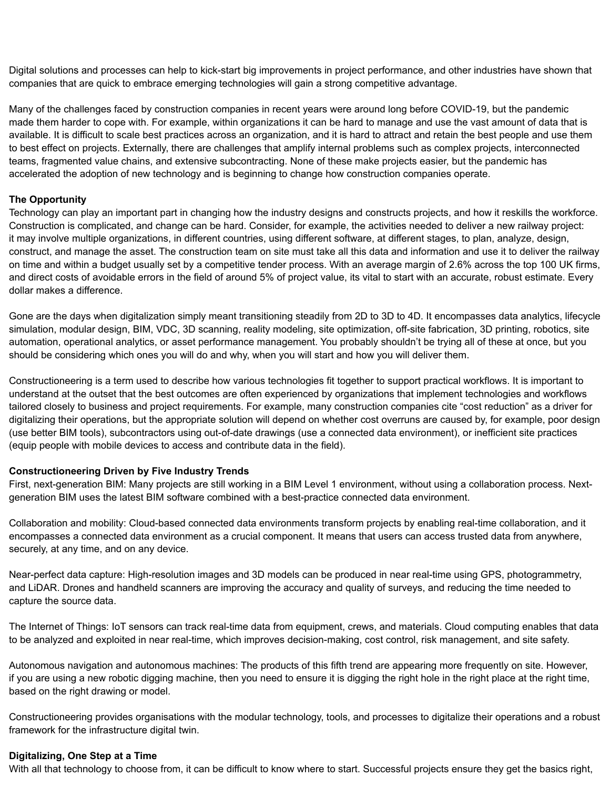Digital solutions and processes can help to kick-start big improvements in project performance, and other industries have shown that companies that are quick to embrace emerging technologies will gain a strong competitive advantage.

Many of the challenges faced by construction companies in recent years were around long before COVID-19, but the pandemic made them harder to cope with. For example, within organizations it can be hard to manage and use the vast amount of data that is available. It is difficult to scale best practices across an organization, and it is hard to attract and retain the best people and use them to best effect on projects. Externally, there are challenges that amplify internal problems such as complex projects, interconnected teams, fragmented value chains, and extensive subcontracting. None of these make projects easier, but the pandemic has accelerated the adoption of new technology and is beginning to change how construction companies operate.

## **The Opportunity**

Technology can play an important part in changing how the industry designs and constructs projects, and how it reskills the workforce. Construction is complicated, and change can be hard. Consider, for example, the activities needed to deliver a new railway project: it may involve multiple organizations, in different countries, using different software, at different stages, to plan, analyze, design, construct, and manage the asset. The construction team on site must take all this data and information and use it to deliver the railway on time and within a budget usually set by a competitive tender process. With an average margin of 2.6% across the top 100 UK firms, and direct costs of avoidable errors in the field of around 5% of project value, its vital to start with an accurate, robust estimate. Every dollar makes a difference.

Gone are the days when digitalization simply meant transitioning steadily from 2D to 3D to 4D. It encompasses data analytics, lifecycle simulation, modular design, BIM, VDC, 3D scanning, reality modeling, site optimization, off-site fabrication, 3D printing, robotics, site automation, operational analytics, or asset performance management. You probably shouldn't be trying all of these at once, but you should be considering which ones you will do and why, when you will start and how you will deliver them.

Constructioneering is a term used to describe how various technologies fit together to support practical workflows. It is important to understand at the outset that the best outcomes are often experienced by organizations that implement technologies and workflows tailored closely to business and project requirements. For example, many construction companies cite "cost reduction" as a driver for digitalizing their operations, but the appropriate solution will depend on whether cost overruns are caused by, for example, poor design (use better BIM tools), subcontractors using out-of-date drawings (use a connected data environment), or inefficient site practices (equip people with mobile devices to access and contribute data in the field).

#### **Constructioneering Driven by Five Industry Trends**

First, next-generation BIM: Many projects are still working in a BIM Level 1 environment, without using a collaboration process. Nextgeneration BIM uses the latest BIM software combined with a best-practice connected data environment.

Collaboration and mobility: Cloud-based connected data environments transform projects by enabling real-time collaboration, and it encompasses a connected data environment as a crucial component. It means that users can access trusted data from anywhere, securely, at any time, and on any device.

Near-perfect data capture: High-resolution images and 3D models can be produced in near real-time using GPS, photogrammetry, and LiDAR. Drones and handheld scanners are improving the accuracy and quality of surveys, and reducing the time needed to capture the source data.

The Internet of Things: IoT sensors can track real-time data from equipment, crews, and materials. Cloud computing enables that data to be analyzed and exploited in near real-time, which improves decision-making, cost control, risk management, and site safety.

Autonomous navigation and autonomous machines: The products of this fifth trend are appearing more frequently on site. However, if you are using a new robotic digging machine, then you need to ensure it is digging the right hole in the right place at the right time, based on the right drawing or model.

Constructioneering provides organisations with the modular technology, tools, and processes to digitalize their operations and a robust framework for the infrastructure digital twin.

#### **Digitalizing, One Step at a Time**

With all that technology to choose from, it can be difficult to know where to start. Successful projects ensure they get the basics right,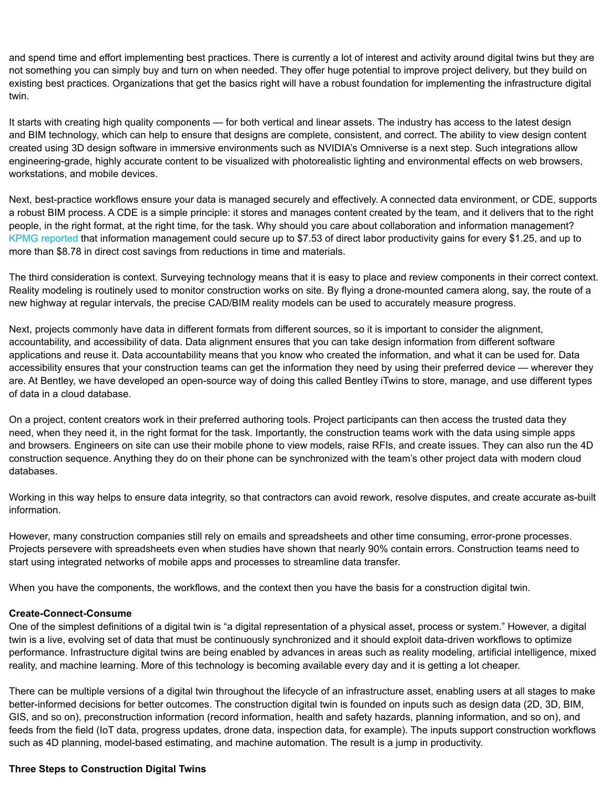and spend time and effort implementing best practices. There is currently a lot of interest and activity around digital twins but they are not something you can simply buy and turn on when needed. They offer huge potential to improve project delivery, but they build on existing best practices. Organizations that get the basics right will have a robust foundation for implementing the infrastructure digital twin.

It starts with creating high quality components — for both vertical and linear assets. The industry has access to the latest design and BIM technology, which can help to ensure that designs are complete, consistent, and correct. The ability to view design content created using 3D design software in immersive environments such as NVIDIA's Omniverse is a next step. Such integrations allow engineering-grade, highly accurate content to be visualized with photorealistic lighting and environmental effects on web browsers, workstations, and mobile devices.

Next, best-practice workflows ensure your data is managed securely and effectively. A connected data environment, or CDE, supports a robust BIM process. A CDE is a simple principle: it stores and manages content created by the team, and it delivers that to the right people, in the right format, at the right time, for the task. Why should you care about collaboration and information management? [KPMG reported](https://assets.kpmg/content/dam/kpmg/uk/pdf/2021/06/cdbb-econ-value-of-im-kpmg-atkins-main-report-new.pdf) that information management could secure up to \$7.53 of direct labor productivity gains for every \$1.25, and up to more than \$8.78 in direct cost savings from reductions in time and materials.

The third consideration is context. Surveying technology means that it is easy to place and review components in their correct context. Reality modeling is routinely used to monitor construction works on site. By flying a drone-mounted camera along, say, the route of a new highway at regular intervals, the precise CAD/BIM reality models can be used to accurately measure progress.

Next, projects commonly have data in different formats from different sources, so it is important to consider the alignment, accountability, and accessibility of data. Data alignment ensures that you can take design information from different software applications and reuse it. Data accountability means that you know who created the information, and what it can be used for. Data accessibility ensures that your construction teams can get the information they need by using their preferred device — wherever they are. At Bentley, we have developed an open-source way of doing this called Bentley iTwins to store, manage, and use different types of data in a cloud database.

On a project, content creators work in their preferred authoring tools. Project participants can then access the trusted data they need, when they need it, in the right format for the task. Importantly, the construction teams work with the data using simple apps and browsers. Engineers on site can use their mobile phone to view models, raise RFIs, and create issues. They can also run the 4D construction sequence. Anything they do on their phone can be synchronized with the team's other project data with modern cloud databases.

Working in this way helps to ensure data integrity, so that contractors can avoid rework, resolve disputes, and create accurate as-built information.

However, many construction companies still rely on emails and spreadsheets and other time consuming, error-prone processes. Projects persevere with spreadsheets even when studies have shown that nearly 90% contain errors. Construction teams need to start using integrated networks of mobile apps and processes to streamline data transfer.

When you have the components, the workflows, and the context then you have the basis for a construction digital twin.

#### **Create-Connect-Consume**

One of the simplest definitions of a digital twin is "a digital representation of a physical asset, process or system." However, a digital twin is a live, evolving set of data that must be continuously synchronized and it should exploit data-driven workflows to optimize performance. Infrastructure digital twins are being enabled by advances in areas such as reality modeling, artificial intelligence, mixed reality, and machine learning. More of this technology is becoming available every day and it is getting a lot cheaper.

There can be multiple versions of a digital twin throughout the lifecycle of an infrastructure asset, enabling users at all stages to make better-informed decisions for better outcomes. The construction digital twin is founded on inputs such as design data (2D, 3D, BIM, GIS, and so on), preconstruction information (record information, health and safety hazards, planning information, and so on), and feeds from the field (IoT data, progress updates, drone data, inspection data, for example). The inputs support construction workflows such as 4D planning, model-based estimating, and machine automation. The result is a jump in productivity.

#### **Three Steps to Construction Digital Twins**